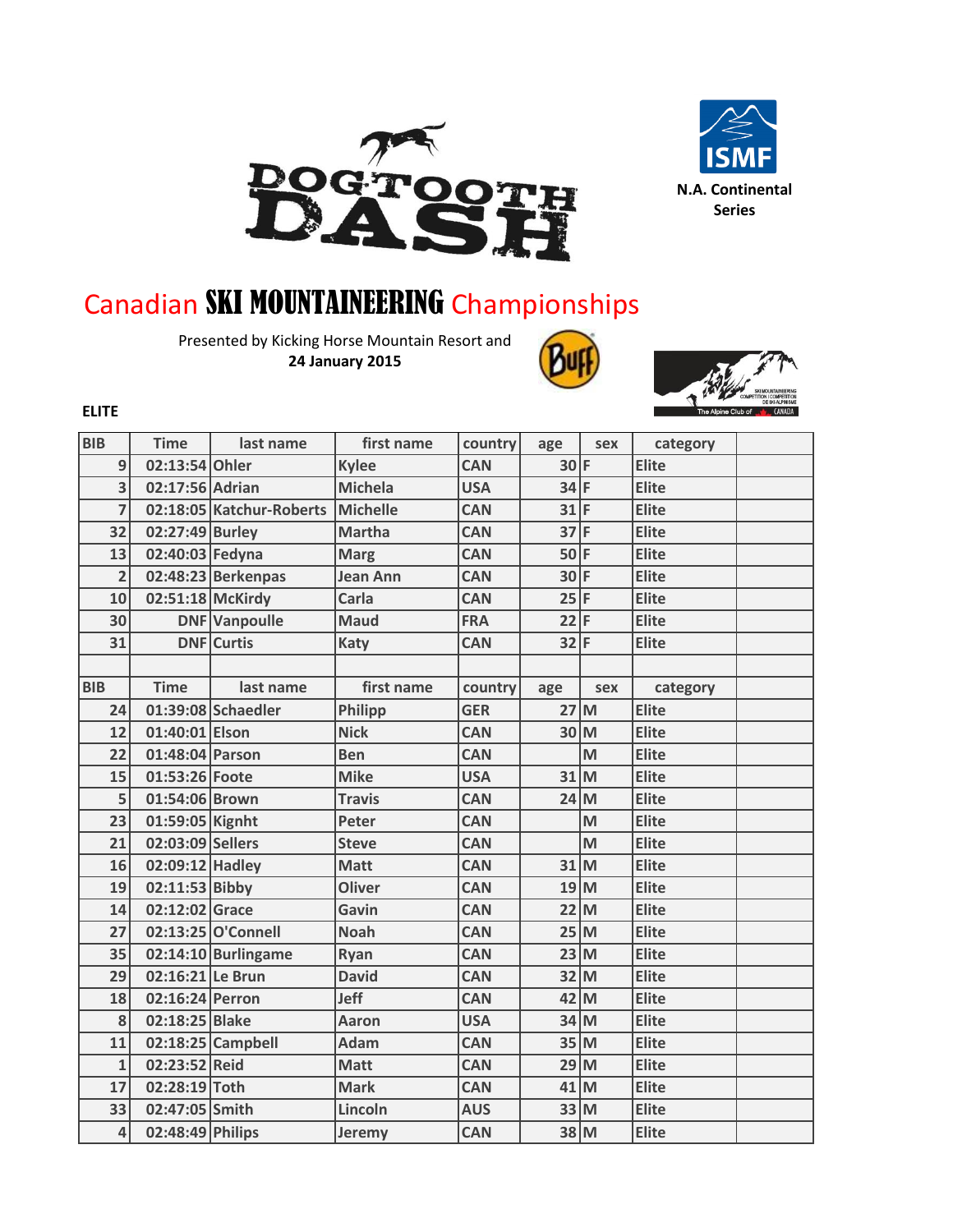



## Canadian SKI MOUNTAINEERING Championships

Presented by Kicking Horse Mountain Resort and **24 January 2015**



**ELITE**

| <b>BIB</b>     | <b>Time</b>      | last name                | first name      | country    | age             | sex | category     |  |
|----------------|------------------|--------------------------|-----------------|------------|-----------------|-----|--------------|--|
| 9              | 02:13:54 Ohler   |                          | <b>Kylee</b>    | <b>CAN</b> | $30$ F          |     | <b>Elite</b> |  |
| $\overline{3}$ | 02:17:56 Adrian  |                          | <b>Michela</b>  | <b>USA</b> | $34$ F          |     | <b>Elite</b> |  |
| $\overline{7}$ |                  | 02:18:05 Katchur-Roberts | <b>Michelle</b> | <b>CAN</b> | 31              | F   | <b>Elite</b> |  |
| 32             | 02:27:49 Burley  |                          | <b>Martha</b>   | <b>CAN</b> | 37              | F   | <b>Elite</b> |  |
| 13             | 02:40:03 Fedyna  |                          | <b>Marg</b>     | <b>CAN</b> | $50$ F          |     | <b>Elite</b> |  |
| $\overline{2}$ |                  | 02:48:23 Berkenpas       | <b>Jean Ann</b> | <b>CAN</b> | 30 <sup>1</sup> | F   | Elite        |  |
| 10             | 02:51:18 McKirdy |                          | Carla           | <b>CAN</b> | 25              | F   | <b>Elite</b> |  |
| 30             |                  | <b>DNF</b> Vanpoulle     | <b>Maud</b>     | <b>FRA</b> | 22              | F   | Elite        |  |
| 31             |                  | <b>DNF</b> Curtis        | <b>Katy</b>     | <b>CAN</b> | $32$ F          |     | <b>Elite</b> |  |
|                |                  |                          |                 |            |                 |     |              |  |
| <b>BIB</b>     | <b>Time</b>      | last name                | first name      | country    | age             | sex | category     |  |
| 24             |                  | 01:39:08 Schaedler       | <b>Philipp</b>  | <b>GER</b> | 27 <sup>1</sup> | M   | <b>Elite</b> |  |
| 12             | 01:40:01 Elson   |                          | <b>Nick</b>     | <b>CAN</b> | 30              | M   | Elite        |  |
| 22             | 01:48:04 Parson  |                          | <b>Ben</b>      | <b>CAN</b> |                 | M   | <b>Elite</b> |  |
| 15             | 01:53:26 Foote   |                          | <b>Mike</b>     | <b>USA</b> | 31              | M   | <b>Elite</b> |  |
| 5              | 01:54:06 Brown   |                          | <b>Travis</b>   | <b>CAN</b> | 24              | M   | Elite        |  |
| 23             | 01:59:05 Kignht  |                          | Peter           | <b>CAN</b> |                 | M   | <b>Elite</b> |  |
| 21             | 02:03:09 Sellers |                          | <b>Steve</b>    | <b>CAN</b> |                 | M   | <b>Elite</b> |  |
| 16             | 02:09:12 Hadley  |                          | <b>Matt</b>     | <b>CAN</b> | 31 M            |     | <b>Elite</b> |  |
| 19             | 02:11:53 Bibby   |                          | <b>Oliver</b>   | <b>CAN</b> | 19              | M   | Elite        |  |
| 14             | 02:12:02 Grace   |                          | Gavin           | <b>CAN</b> | 22              | M   | Elite        |  |
| 27             |                  | 02:13:25 O'Connell       | <b>Noah</b>     | <b>CAN</b> | 25 M            |     | Elite        |  |
| 35             |                  | 02:14:10 Burlingame      | Ryan            | <b>CAN</b> | 23              | M   | Elite        |  |
| 29             | 02:16:21 Le Brun |                          | <b>David</b>    | <b>CAN</b> | 32              | M   | <b>Elite</b> |  |
| 18             | 02:16:24 Perron  |                          | Jeff            | <b>CAN</b> | 42              | M   | <b>Elite</b> |  |
| 8              | 02:18:25 Blake   |                          | <b>Aaron</b>    | <b>USA</b> | 34 M            |     | Elite        |  |
| 11             |                  | 02:18:25 Campbell        | <b>Adam</b>     | <b>CAN</b> | 35              | M   | Elite        |  |
| $\mathbf{1}$   | 02:23:52 Reid    |                          | <b>Matt</b>     | <b>CAN</b> | 29              | M   | <b>Elite</b> |  |
| 17             | 02:28:19 Toth    |                          | <b>Mark</b>     | <b>CAN</b> | 41              | M   | Elite        |  |
| 33             | 02:47:05 Smith   |                          | Lincoln         | <b>AUS</b> | 33              | M   | Elite        |  |
| 4              | 02:48:49 Philips |                          | Jeremy          | <b>CAN</b> | 38 M            |     | <b>Elite</b> |  |